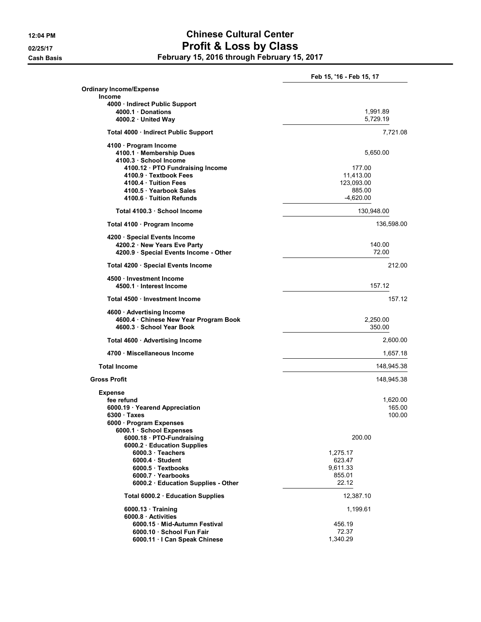## 12:04 PM Chinese Cultural Center 02/25/17 **Profit & Loss by Class** Cash Basis February 15, 2016 through February 15, 2017

Feb 15, '16 - Feb 15, 17 Ordinary Income/Expense Income 4000 · Indirect Public Support 4000.1 · Donations 1,991.89 4000.2 · United Way 5,729.19 Total 4000 · Indirect Public Support 7,721.08 4100 · Program Income 4100.1 · Membership Dues 5,650.00 4100.3 · School Income 4100.12 · PTO Fundraising Income 177.00 4100.9 · Textbook Fees 11,413.00 4100.4 · Tuition Fees 4100.5 · Yearbook Sales 885.00<br>1100.6 · Tuition Refunds 885.00 · All the state of the state of the state of the state of the state of the st 4100.6 · Tuition Refunds Total 4100.3 · School Income 130,948.00 Total 4100 · Program Income 136,598.00 4200 · Special Events Income 4200.2 · New Years Eve Party 2008 · 140.00 4200.9 · Special Events Income - Other 72.00 Total 4200 · Special Events Income 212.00 4500 · Investment Income 4500.1 · Interest Income 157.12 Total 4500 · Investment Income 157.12 4600 · Advertising Income 4600.4 · Chinese New Year Program Book 2,250.00 4600.3 · School Year Book 350.00 Total 4600 · Advertising Income 2,600.00 4700 · Miscellaneous Income 1,657.18 Total Income 148,945.38 Gross Profit 2004 148,945.38 Expense  $f$ ee refund $1,620.00$ 6000.19 · Yearend Appreciation 165.00  $6300 \cdot$  Taxes 6000 · Program Expenses 6000.1 · School Expenses 6000.18 · PTO-Fundraising 200.00 6000.2 · Education Supplies 6000.3 · Teachers 1,275.17 6000.4 · Student 6000.4 · Student 623.47 6000.5 · Textbooks 9,611.33 6000.7 · Yearbooks 855.01<br>
6000.2 · Education Supplies - Other 1986 86000.2 · Education Supplies - Other 1986 6000.2 · Education Supplies - Other Total 6000.2 · Education Supplies 12,387.10 6000.13 · Training 1,199.61 6000.8 · Activities 6000.15 · Mid-Autumn Festival 456.19 6000.10 · School Fun Fair 72.37

6000.11 · I Can Speak Chinese